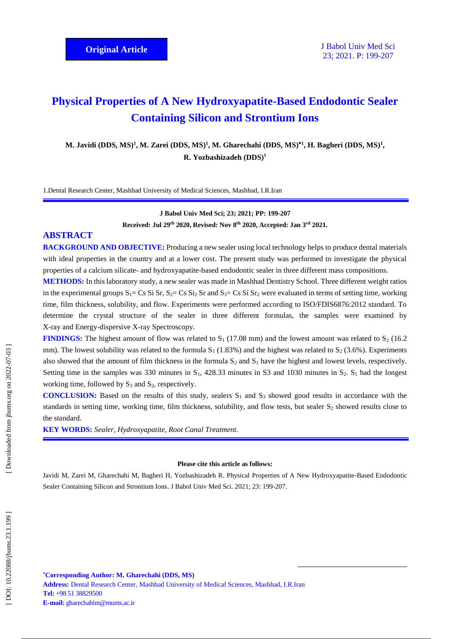# **Physical Properties of A New Hydroxyapatite-Based Endodontic Sealer Containing Silicon and Strontium Ions**

M. Javidi (DDS, MS)<sup>1</sup>, M. Zarei (DDS, MS)<sup>1</sup>, M. Gharechahi (DDS, MS)<sup>\*1</sup>, H. Bagheri (DDS, MS)<sup>1</sup>, **R. Yozbashizadeh (DDS ) 1**

1.Dental Research Center, Mashhad University of Medical Sciences, Mashhad, I.R.Iran

**J Babol Univ Med Sci; 2 3; 202 1; PP: 1 9 9 -207 Received: Jul 29th 2020, Revised: Nov 8th 2020, Accepted: Jan 3rd 2021 .**

### **ABSTRACT**

**BACKGROUND AND OBJECTIVE:** Producing a new sealer using local technology helps to produce dental materials with ideal properties in the country and at a lower cost. The present study was performed to investigate the physical properties of a calcium silicate - and hydroxyapatite -based endodontic sealer in three different mass compositions .

**METHODS:** In this laboratory study, a new sealer was made in Mashhad Dentistry School. Three different weight ratios in the experimental groups  $S_1 = Cs Si Sr, S_2 = Cs Si_2 Sr$  and  $S_3 = Cs Si Sr_2$  were evaluated in terms of setting time, working time, film thickness, solubility, and flow. Experiments were performed according to ISO/FDIS6876:2012 standard. To determine the crystal structure of the sealer in three different formulas, the samples were examined by X-ray and Energy-dispersive X-ray Spectroscopy.

**FINDINGS:** The highest amount of flow was related to  $S_1$  (17.08 mm) and the lowest amount was related to  $S_2$  (16.2) mm). The lowest solubility was related to the formula  $S_1$  (1.83%) and the highest was related to  $S_2$  (3.6%). Experiments also showed that the amount of film thickness in the formula  $S_2$  and  $S_1$  have the highest and lowest levels, respectively. Setting time in the samples was 330 minutes in  $S_1$ , 428.33 minutes in S3 and 1030 minutes in  $S_2$ .  $S_1$  had the longest working time, followed by S<sub>3</sub> and S<sub>2</sub>, respectively.

**CONCLUSION:** Based on the results of this study, sealers S<sub>1</sub> and S<sub>3</sub> showed good results in accordance with the standards in setting time, working time, film thickness, solubility, and flow tests, but sealer S <sup>2</sup> showed results close to the standard .

**KEY WORDS:** *Sealer, Hydroxyapatite, Root Canal Treatment .*

#### **Please cite this article as follows:**

Javidi M, Zarei M, Gharechahi M, Bagheri H, Yozbashizadeh R. Physical Properties of A New Hydroxyapatite -Based Endodontic Sealer Containing Silicon and Strontium Ions. J Babol Univ Med Sci. 2021; 23: 199-207.

 $\overline{a}$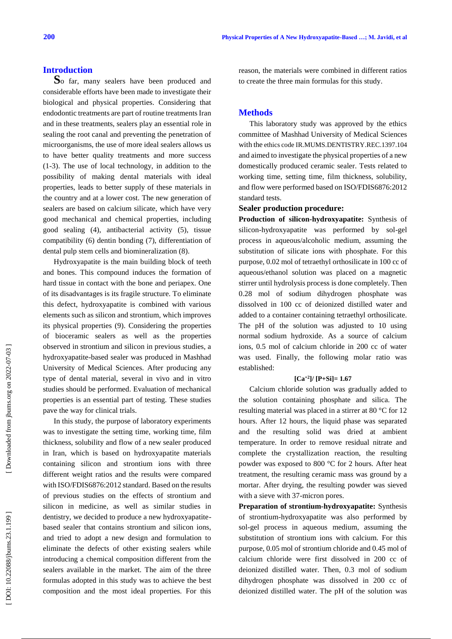**Introduction <sup>S</sup>**o far, many sealers have been produced and considerable efforts have been made to investigate their biological and physical properties. Considering that endodontic treatments are part of routine treatments Iran and in these treatments, sealers play an essential role in sealing the root canal and preventing the penetration of microorganisms, the use of more ideal sealers allows us to have better quality treatments and more success (1 -3). The use of local technology, in addition to the possibility of making dental materials with ideal properties, leads to better supply of these materials in the country and at a lower cost. The new generation of sealers are based on calcium silicate, which have very good mechanical and chemical properties, including good sealing (4), antibacterial activity (5), tissue compatibility (6) dentin bonding (7), differentiation of dental pulp stem cells and biomineralization (8).

Hydroxyapatite is the main building block of teeth and bones. This compound induces the formation of hard tissue in contact with the bone and periapex. One of its disadvantages is its fragile structure. To eliminate this defect, hydroxyapatite is combined with various elements such as silicon and strontium, which improves its physical properties (9). Considering the properties of bioceramic sealers as well as the properties observed in strontium and silicon in previous studies, a hydroxyapatite -based sealer was produced in Mashhad University of Medical Sciences. After producing any type of dental material, several in vivo and in vitro studies should be performed. Evaluation of mechanical properties is an essential part of testing. These studies pave the way for clinical trials.

In this study, the purpose of laboratory experiments was to investigate the setting time, working time, film thickness, solubility and flow of a new sealer produced in Iran, which is based on hydroxyapatite materials containing silicon and strontium ions with three different weight ratios and the results were compared with ISO/FDIS6876:2012 standard. Based on the results of previous studies on the effects of strontium and silicon in medicine, as well as similar studies in dentistry, we decided to produce a new hydroxyapatite based sealer that contains strontium and silicon ions, and tried to adopt a new design and formulation to eliminate the defects of other existing sealers while introducing a chemical composition different from the sealers available in the market. The aim of the three formulas adopted in this study was to achieve the best composition and the most ideal properties. For this

reason, the materials were combined in different ratios to create the three main formulas for this study .

# **Methods**

This laboratory study was approved by the ethics committee of Mashhad University of Medical Sciences with the ethics code IR.MUMS .DENTISTRY.REC.1397.104 and aimed to investigate the physical properties of a new domestically produced ceramic sealer. Tests related to working time, setting time, film thickness, solubility, and flow were performed based on ISO/FDIS6876:2012 standard tests.

#### **Sealer production procedure:**

**Production of silicon -hydroxyapatite:** Synthesis of silicon -hydroxyapatite was performed by sol -gel process in aqueous/alcoholic medium, assuming the substitution of silicate ions with phosphate. For this purpose, 0.02 mol of tetraethyl orthosilicate in 100 cc of aqueous/ethanol solution was placed on a magnetic stirrer until hydrolysis process is done completely. Then 0.28 mol of sodium dihydrogen phosphate was dissolved in 100 cc of deionized distilled water and added to a container containing tetraethyl orthosilicate. The pH of the solution was adjusted to 10 using normal sodium hydroxide. As a source of calcium ions, 0.5 mol of calcium chloride in 200 cc of water was used. Finally, the following molar ratio was established:

#### **[Ca+2]/ [P+Si] = 1.67**

Calcium chloride solution was gradually added to the solution containing phosphate and silica. The resulting material was placed in a stirrer at 80 °C for 12 hours. After 12 hours, the liquid phase was separated and the resulting solid was dried at ambient temperature. In order to remove residual nitrate and complete the crystallization reaction, the resulting powder was exposed to 800 °C for 2 hours. After heat treatment, the resulting ceramic mass was ground by a mortar. After drying, the resulting powder was sieved with a sieve with 37 -micron pores.

**Preparation of strontium -hydroxyapatite:** Synthesis of strontium -hydroxyapatite was also performed by sol -gel process in aqueous medium, assuming the substitution of strontium ions with calcium. For this purpose, 0.05 mol of strontium chloride and 0.45 mol of calcium chloride were first dissolved in 200 cc of deionized distilled water. Then, 0.3 mol of sodium dihydrogen phosphate was dissolved in 200 cc of deionized distilled water. The pH of the solution was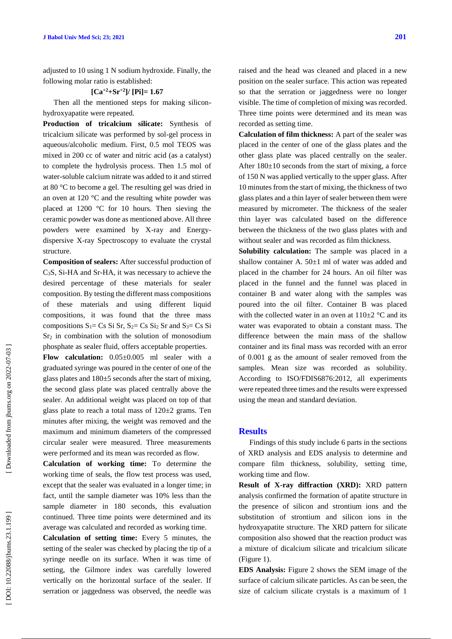adjusted to 10 using 1 N sodium hydroxide. Finally, the following molar ratio is established:

# **[Ca+2+Sr+2]/ [Pi] = 1.67**

Then all the mentioned steps for making silicon hydroxyapatite were repeated.

**Production of tricalcium silicate:** Synthesis of tricalcium silicate was performed by sol -gel process in aqueous/alcoholic medium. First, 0.5 mol TEOS was mixed in 200 cc of water and nitric acid (as a catalyst) to complete the hydrolysis process. Then 1.5 mol of water -soluble calcium nitrate was added to it and stirred at 80 °C to become a gel. The resulting gel was dried in an oven at 120 °C and the resulting white powder was placed at 1200 °C for 10 hours. Then sieving the ceramic powder was done as mentioned above. All three powders were examined by X -ray and Energy dispersive X -ray Spectroscopy to evaluate the crystal structure.

**Composition of sealers:** After successful production of C<sub>3</sub>S, Si-HA and Sr-HA, it was necessary to achieve the desired percentage of these materials for sealer composition. By testing the different mass compositions of these materials and using different liquid compositions, it was found that the three mass compositions  $S_1 = Cs S$  is  $Sr, S_2 = Cs S$  is  $S_2$  and  $S_3 = Cs S$  is Sr <sup>2</sup> in combination with the solution of monosodium phosphate as sealer fluid, offers acceptable properties.

**Flow calculation:** 0.05±0.005 ml sealer with a graduated syringe was poured in the center of one of the glass plates and 180±5 seconds after the start of mixing, the second glass plate was placed centrally above the sealer. An additional weight was placed on top of that glass plate to reach a total mass of  $120±2$  grams. Ten minutes after mixing, the weight was removed and the maximum and minimum diameters of the compressed circular sealer were measured. Three measurements were performed and its mean was recorded as flow.

**Calculation of working time:** To determine the working time of seals, the flow test process was used, except that the sealer was evaluated in a longer time; in fact, until the sample diameter was 10% less than the sample diameter in 180 seconds, this evaluation continued. Three time points were determined and its average was calculated and recorded as working time.

**Calculation of setting time:** Every 5 minutes, the setting of the sealer was checked by placing the tip of a syringe needle on its surface. When it was time of setting, the Gilmore index was carefully lowered vertically on the horizontal surface of the sealer. If serration or jaggedness was observed, the needle was raised and the head was cleaned and placed in a new position on the sealer surface. This action was repeated so that the serration or jaggedness were no longer visible. The time of completion of mixing was recorded. Three time points were determined and its mean was recorded as setting time.

**Calculation of film thickness:** A part of the sealer was placed in the center of one of the glass plates and the other glass plate was placed centrally on the sealer. After  $180\pm10$  seconds from the start of mixing, a force of 150 N was applied vertically to the upper glass. After 10 minutes from the start of mixing, the thickness of two glass plates and a thin layer of sealer between them were measured by micrometer. The thickness of the sealer thin layer was calculated based on the difference between the thickness of the two glass plates with and without sealer and was recorded as film thickness.

**Solubility calculation:** The sample was placed in a shallow container A. 50±1 ml of water was added and placed in the chamber for 24 hours. An oil filter was placed in the funnel and the funnel was placed in container B and water along with the samples was poured into the oil filter. Container B was placed with the collected water in an oven at  $110\pm2$  °C and its water was evaporated to obtain a constant mass. The difference between the main mass of the shallow container and its final mass was recorded with an error of 0.001 g as the amount of sealer removed from the samples. Mean size was recorded as solubility. According to ISO/FDIS6876:2012, all experiments were repeated three times and the results were expressed using the mean and standard deviation .

# **Results**

Findings of this study include 6 parts in the sections of XRD analysis and EDS analysis to determine and compare film thickness, solubility, setting time, working time and flow.

**Result of X -ray diffraction (XRD):** XRD pattern analysis confirmed the formation of apatite structure in the presence of silicon and strontium ions and the substitution of strontium and silicon ions in the hydroxyapatite structure. The XRD pattern for silicate composition also showed that the reaction product was a mixture of dicalcium silicate and tricalcium silicate (Figure 1).

**EDS Analysis:** Figure 2 shows the SEM image of the surface of calcium silicate particles. As can be seen, the size of calcium silicate crystals is a maximum of 1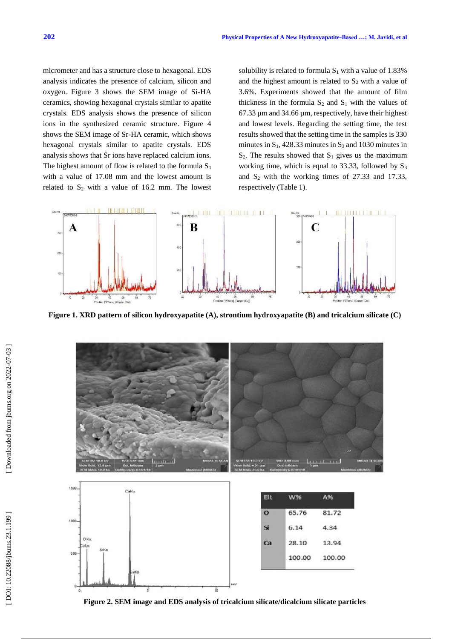micrometer and has a structure close to hexagonal. EDS analysis indicates the presence of calcium, silicon and oxygen. Figure 3 shows the SEM image of Si -HA ceramics, showing hexagonal crystals similar to apatite crystals. EDS analysis shows the presence of silicon ions in the synthesized ceramic structure. Figure 4 shows the SEM image of Sr -HA ceramic, which shows hexagonal crystals similar to apatite crystals. EDS analysis shows that Sr ions have replaced calcium ions. The highest amount of flow is related to the formula  $S_1$ with a value of 17.08 mm and the lowest amount is related to  $S_2$  with a value of 16.2 mm. The lowest

solubility is related to formula  $S_1$  with a value of 1.83% and the highest amount is related to  $S_2$  with a value of 3.6%. Experiments showed that the amount of film thickness in the formula  $S_2$  and  $S_1$  with the values of 67.33 µm and 34.66 µm, respectively, have their highest and lowest levels. Regarding the setting time, the test results showed that the setting time in the samples is 330 minutes in  $S_1$ , 428.33 minutes in  $S_3$  and 1030 minutes in  $S_2$ . The results showed that  $S_1$  gives us the maximum working time, which is equal to 33.33, followed by S 3 and S <sup>2</sup> with the working times of 27.33 and 17.33, respectively (Table 1).



**Figure 1. XRD pattern of silicon hydroxyapatite (A), strontium hydroxyapatite (B) and tricalcium silicate (C)**



**Figure 2. SEM image and EDS analysis of tricalcium silicate/dicalcium silicate particles**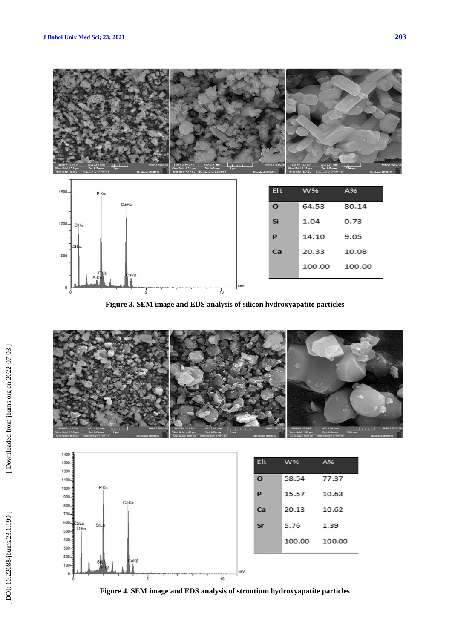

 $\frac{1}{10}$ **Figure 3. SEM image and EDS analysis of silicon hydroxyapatite particles**

ke\





**Figure 4. SEM image and EDS analysis of strontium hydroxyapatite particles**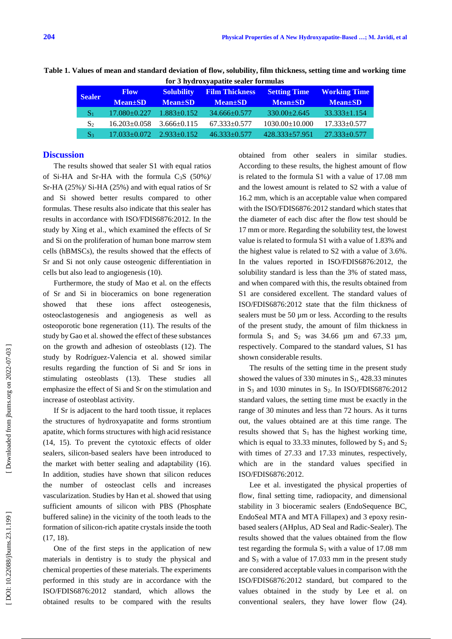|                |                                      |                   | for y hydroxyapathe search formulas |                      |                     |
|----------------|--------------------------------------|-------------------|-------------------------------------|----------------------|---------------------|
| <b>Sealer</b>  | <b>Flow</b>                          | <b>Solubility</b> | <b>Film Thickness</b>               | <b>Setting Time</b>  | <b>Working Time</b> |
|                | $Mean \pm SD$                        | $Mean \pm SD$     | $Mean \pm SD$                       | $Mean \pm SD$        | <b>Mean</b> ±SD     |
| Sĩ             | $17.080 \pm 0.227$                   | $1.883 \pm 0.152$ | $34.666 \pm 0.577$                  | $330.00 \pm 2.645$   | $33.333 \pm 1.154$  |
| $S_2$          | $16.203 \pm 0.058$                   | $3.666 \pm 0.115$ | $67.333 \pm 0.577$                  | $1030.00 \pm 10.000$ | $17.333 \pm 0.577$  |
| S <sub>3</sub> | $17.033 \pm 0.072$ $2.933 \pm 0.152$ |                   | $46.333 \pm 0.577$                  | $428.333 \pm 57.951$ | $27.333 \pm 0.577$  |

**Table 1. Values of mean and standard deviation of flow, solubility, film thickness, setting time and working time for 3 hydroxyapatite sealer formulas**

# **Discussion**

The results showed that sealer S1 with equal ratios of Si-HA and Sr-HA with the formula  $C_3S$  (50%)/ Sr-HA (25%)/ Si-HA (25%) and with equal ratios of Sr and Si showed better results compared to other formulas. These results also indicate that this sealer has results in accordance with ISO/FDIS6876:2012. In the study by Xing et al., which examined the effects of Sr and Si on the proliferation of human bone marrow stem cells (hBMSCs), the results showed that the effects of Sr and Si not only cause osteogenic differentiation in cells but also lead to angiogenesis (10).

Furthermore, the study of Mao et al. on the effects of Sr and Si in bioceramics on bone regeneration showed that these ions affect osteogenesis, osteoclastogenesis and angiogenesis as well as osteoporotic bone regeneration (11). The results of the study by Gao et al. showed the effect of these substances on the growth and adhesion of osteoblasts (12). The study by Rodríguez -Valencia et al. showed similar results regarding the function of Si and Sr ions in stimulating osteoblasts (13). These studies all emphasize the effect of Si and Sr on the stimulation and increase of osteoblast activity.

If Sr is adjacent to the hard tooth tissue, it replaces the structures of hydroxyapatite and forms strontium apatite, which forms structures with high acid resistance (14, 15). To prevent the cytotoxic effects of older sealers, silicon -based sealers have been introduced to the market with better sealing and adaptability (16). In addition, studies have shown that silicon reduces the number of osteoclast cells and increases vascularization. Studies by Han et al. showed that using sufficient amounts of silicon with PBS (Phosphate buffered saline) in the vicinity of the tooth leads to the formation of silicon -rich apatite crystals inside the tooth (17, 18).

One of the first steps in the application of new materials in dentistry is to study the physical and chemical properties of these materials. The experiments performed in this study are in accordance with the ISO/FDIS6876:2012 standard, which allows the obtained results to be compared with the results

obtained from other sealers in similar studies. According to these results, the highest amount of flow is related to the formula S1 with a value of 17.08 mm and the lowest amount is related to S2 with a value of 16.2 mm, which is an acceptable value when compared with the ISO/FDIS6876:2012 standard which states that the diameter of each disc after the flow test should be 17 mm or more. Regarding the solubility test, the lowest value is related to formula S1 with a value of 1.83% and the highest value is related to S2 with a value of 3.6%. In the values reported in ISO/FDIS6876:2012, the solubility standard is less than the 3% of stated mass, and when compared with this, the results obtained from S1 are considered excellent. The standard values of ISO/FDIS6876:2012 state that the film thickness of sealers must be 50 µm or less. According to the results of the present study, the amount of film thickness in formula  $S_1$  and  $S_2$  was 34.66  $\mu$ m and 67.33  $\mu$ m, respectively. Compared to the standard values, S1 has shown considerable results.

The results of the setting time in the present study showed the values of 330 minutes in  $S_1$ , 428.33 minutes in  $S_3$  and 1030 minutes in  $S_2$ . In ISO/FDIS6876:2012 standard values, the setting time must be exactly in the range of 30 minutes and less than 72 hours. As it turns out, the values obtained are at this time range. The results showed that  $S_1$  has the highest working time, which is equal to 33.33 minutes, followed by  $S_3$  and  $S_2$ with times of 27.33 and 17.33 minutes, respectively, which are in the standard values specified in ISO/FDIS6876:2012.

Lee et al. investigated the physical properties of flow, final setting time, radiopacity, and dimensional stability in 3 bioceramic sealers (EndoSequence BC, EndoSeal MTA and MTA Fillapex) and 3 epoxy resin based sealers (AHplus, AD Seal and Radic -Sealer). The results showed that the values obtained from the flow test regarding the formula  $S_1$  with a value of 17.08 mm and S <sup>3</sup> with a value of 17.033 mm in the present study are considered acceptable values in comparison with the ISO/FDIS6876:2012 standard, but compared to the values obtained in the study by Lee et al. on conventional sealers, they have lower flow (24).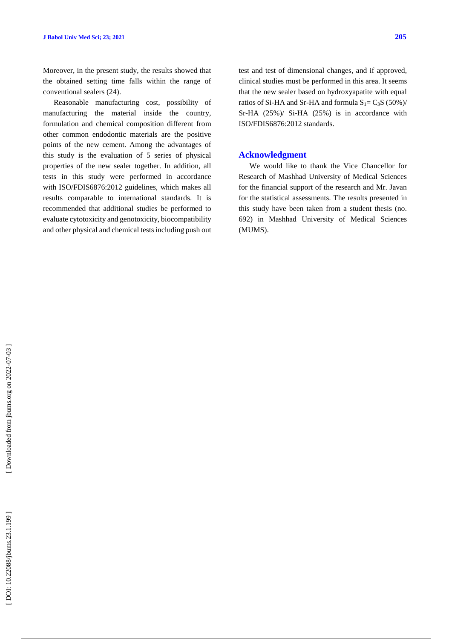Moreover, in the present study, the results showed that the obtained setting time falls within the range of conventional sealers (24).

Reasonable manufacturing cost, possibility of manufacturing the material inside the country, formulation and chemical composition different from other common endodontic materials are the positive points of the new cement. Among the advantages of this study is the evaluation of 5 series of physical properties of the new sealer together. In addition, all tests in this study were performed in accordance with ISO/FDIS6876:2012 guidelines, which makes all results comparable to international standards. It is recommended that additional studies be performed to evaluate cytotoxicity and genotoxicity, biocompatibility and other physical and chemical tests including push out test and test of dimensional changes, and if approved, clinical studies must be performed in this area. It seems that the new sealer based on hydroxyapatite with equal ratios of Si-HA and Sr-HA and formula  $S_1 = C_3S(50\%)/$ Sr -HA (25%)/ Si -HA (25%) is in accordance with ISO/FDIS6876:2012 standards .

### **Acknowledgment**

We would like to thank the Vice Chancellor for Research of Mashhad University of Medical Sciences for the financial support of the research and Mr. Javan for the statistical assessments. The results presented in this study have been taken from a student thesis (no. 692) in Mashhad University of Medical Sciences (MUMS) .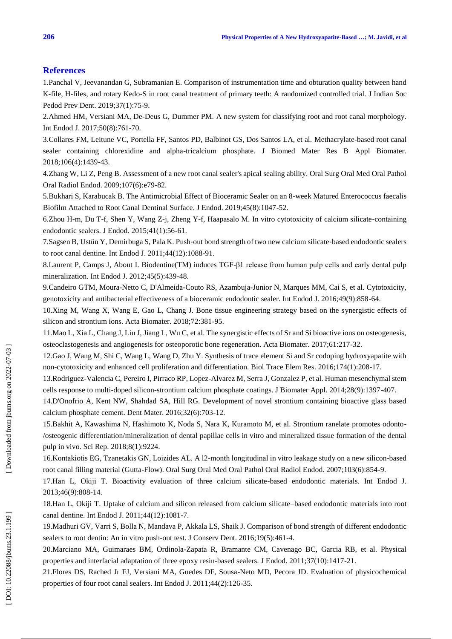# **Reference s**

1. Panchal V, Jeevanandan G, Subramanian E. Comparison of instrumentation time and obturation quality between hand K-file, H-files, and rotary Kedo-S in root canal treatment of primary teeth: A randomized controlled trial. J Indian Soc Pedod Prev Dent. 2019;37(1):75 -9.

2 .Ahmed HM, Versiani MA, De -Deus G, Dummer PM. [A new system for c](https://pubmed.ncbi.nlm.nih.gov/27578418/)lassifying root and root canal morphology. Int Endod J. 2017;50(8):761 -70.

3 .Collares FM, Leitune VC, Portella FF, Santos PD, Balbinot GS, Dos Santos LA, et al. Methacrylate [-based root canal](https://pubmed.ncbi.nlm.nih.gov/28644564/)  [sealer containing chlorexidine and alpha](https://pubmed.ncbi.nlm.nih.gov/28644564/) -tricalcium phosphate. J Biomed Mater Res B Appl Biomater. 2018;106(4):1439 -43.

4 .Zhang W, Li Z, Peng B. Assessment of a new root canal sealer's apical sealing ability. Oral Surg Oral Med Oral Pathol Oral Radiol Endod. 2009;107(6):e79 -82 .

5 .Bukhari S, Karabucak B. The Antimicrobial Effect of Bioceramic Sealer on an 8 -week Matured Enterococcus faecalis Biofilm Attached to Root Canal Dentinal Surface. J Endod. 2019;45(8):1047 -52.

6 .Zhou H -m, Du T -f, Shen Y, Wang Z -j, Zheng Y -f, Haapasalo M. In vitro cytotoxicity of calcium silicate -containing endodontic sealers. J Endod. 2015;41(1):56 -61.

7 .Sagsen B, Ustün Y, Demirbuga S, Pala K. Push ‐out bond strength of two new calcium silicate ‐based endodontic sealers to root canal dentine. Int Endod J. 2011;44(12):1088 -91.

8 .Laurent P, Camps J, About I. Biodentine(TM) induces TGF -β1 release from human pulp cells and early dental pulp mineralization. Int Endod J. 2012;45(5):439 -48.

9 .Candeiro GTM, Moura -Netto C, D'Almeida -Couto RS, Azambuja -Junior N, Marques MM, Cai S, et al. Cytotoxicity, genotoxicity and antibacterial effectiveness of a bioceramic endodontic sealer. Int Endod J. 2016;49(9):858 -64.

10 .Xing M, Wang X, Wang E, Gao L, Chang J. Bone tissue engineering strategy based on the synergistic effects of silicon and strontium ions. Acta Biomater. 2018;72:381 -95.

11 .Mao L, Xia L, Chang J, Liu J, Jiang L, Wu C, et al. The synergistic effects of Sr and Si bioactive ions on osteogenesis, osteoclastogenesis and angiogenesis for osteoporotic bone regeneration. Acta Biomater. 2017;61:217 -32.

12 .Gao J, Wang M, Shi C, Wang L, Wang D, Zhu Y. Synthesis of trace element Si and Sr codoping hydroxyapatite with non -cytotoxicity and enhanced cell proliferation and differentiation. Biol Trace Elem Res. 2016;174(1):208 -17.

13 .Rodriguez -Valencia C, Pereiro I, Pirraco RP, Lopez -Alvarez M, Serra J, Gonzalez P, et al. Human mesenchymal stem cells response to multi -doped silicon -strontium calcium phosphate coatings. J Biomater Appl. 2014;28(9):1397 -407.

14 .D'Onofrio A, Kent NW, Shahdad SA, Hill RG. Development of novel strontium containing bioactive glass based calcium phosphate cement. Dent Mater. 2016;32(6):703 -12.

15 .Bakhit A, Kawashima N, Hashimoto K, Noda S, Nara K, Kuramoto M, et al. Strontium ranelate promotes odonto - /osteogenic differentiation/mineralization of dental papillae cells in vitro and mineralized tissue formation of the dental pulp in vivo. Sci Rep. 2018;8(1):9224.

16 .Kontakiotis EG, Tzanetakis GN, Loizides AL. A l2 -month longitudinal in vitro leakage study on a new silicon -based root canal filling material (Gutta-Flow). Oral Surg Oral Med Oral Pathol Oral Radiol Endod. 2007;103(6):854-9.

17 .Han L, Okiji T. Bioactivity evaluation of three calcium silicate -based endodontic materials. Int Endod J. 2013;46(9):808 -14.

18 .Han L, Okiji T. Uptake of calcium and silicon released from calcium silicate –based endodontic materials into root canal dentine. Int Endod J. 2011;44(12):1081 -7.

19 .Madhuri GV, Varri S, Bolla N, Mandava P, Akkala LS, Shaik J. Comparison of bond strength of different endodontic sealers to root dentin: An in vitro push-out test. J Conserv Dent. 2016;19(5):461-4.

20 .Marciano MA, Guimaraes BM, Ordinola -Zapata R, Bramante CM, Cavenago BC, Garcia RB, et al. Physical properties and interfacial adaptation of three epoxy resin -based sealers. J Endod. 2011;37(10):1417 -21.

21 .Flores DS, Rached Jr FJ, Versiani MA, Guedes DF, Sousa -Neto MD, Pecora JD. Evaluation of physicochemical properties of four root canal sealers. Int Endod J. 2011;44(2):126-35.